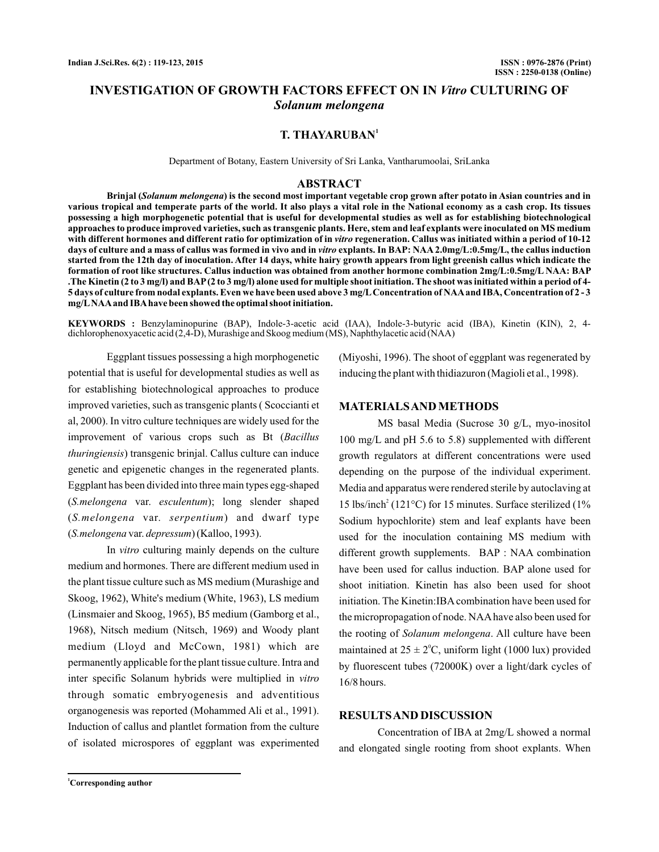# **INVESTIGATION OF GROWTH FACTORS EFFECT ON IN Vitro CULTURING OF** *Solanum melongena*

## **T. THAYARUBAN<sup>1</sup>**

Department of Botany, Eastern University of Sri Lanka, Vantharumoolai, SriLanka

#### **ABSTRACT**

Brinjal (Solanum melongena) is the second most important vegetable crop grown after potato in Asian countries and in **various tropical and temperate parts of the world. It also plays a vital role in the National economy as a cash crop. Its tissues possessing a high morphogenetic potential that is useful for developmental studies as well as for establishing biotechnological approaches to produce improved varieties, such as transgenic plants. Here, stem and leaf explants were inoculated on MS medium** with different hormones and different ratio for optimization of in vitro regeneration. Callus was initiated within a period of 10-12 days of culture and a mass of callus was formed in vivo and in *vitro* explants. In BAP: NAA 2.0mg/L:0.5mg/L, the callus induction **started from the 12th day of inoculation. After 14 days, white hairy growth appears from light greenish callus which indicate the formation of root like structures. Callus induction was obtained from another hormone combination 2mg/L:0.5mg/L NAA: BAP .The Kinetin (2 to 3 mg/l) and BAP(2 to 3 mg/l) alone used for multiple shoot initiation. The shoot was initiated within a period of 4- 5 days of culture from nodal explants. Even we have been used above 3 mg/LConcentration of NAAand IBA, Concentration of 2 - 3 mg/LNAAand IBAhave been showed the optimal shoot initiation.**

**KEYWORDS :** Benzylaminopurine (BAP), Indole-3-acetic acid (IAA), Indole-3-butyric acid (IBA), Kinetin (KIN), 2, 4 dichlorophenoxyacetic acid (2,4-D), Murashige and Skoog medium (MS), Naphthylacetic acid (NAA)

Eggplant tissues possessing a high morphogenetic potential that is useful for developmental studies as well as for establishing biotechnological approaches to produce improved varieties, such as transgenic plants ( Scoccianti et al, 2000). In vitro culture techniques are widely used for the improvement of various crops such as Bt ( *Bacillus* ) transgenic brinjal. Callus culture can induce *thuringiensis* genetic and epigenetic changes in the regenerated plants. Eggplant has been divided into three main types egg-shaped (S.melongena var. esculentum); long slender shaped (S.melongena var. serpentium) and dwarf type (S.melongena var. depressum) (Kalloo, 1993).

In vitro culturing mainly depends on the culture medium and hormones. There are different medium used in the plant tissue culture such as MS medium (Murashige and Skoog, 1962), White's medium (White, 1963), LS medium (Linsmaier and Skoog, 1965), B5 medium (Gamborg et al., 1968), Nitsch medium (Nitsch, 1969) and Woody plant medium (Lloyd and McCown, 1981) which are permanently applicable for the plant tissue culture. Intra and inter specific Solanum hybrids were multiplied in *vitro* through somatic embryogenesis and adventitious organogenesis was reported (Mohammed Ali et al., 1991). Induction of callus and plantlet formation from the culture of isolated microspores of eggplant was experimented (Miyoshi, 1996). The shoot of eggplant was regenerated by inducing the plant with thidiazuron (Magioli et al., 1998).

#### **MATERIALSAND METHODS**

MS basal Media (Sucrose 30 g/L, myo-inositol 100 mg/L and pH 5.6 to 5.8) supplemented with different growth regulators at different concentrations were used depending on the purpose of the individual experiment. Media and apparatus were rendered sterile by autoclaving at 15 lbs/inch<sup>2</sup> (121°C) for 15 minutes. Surface sterilized (1% Sodium hypochlorite) stem and leaf explants have been used for the inoculation containing MS medium with different growth supplements. BAP : NAA combination have been used for callus induction. BAP alone used for shoot initiation. Kinetin has also been used for shoot initiation. The Kinetin:IBA combination have been used for the micropropagation of node. NAA have also been used for the rooting of Solanum melongena. All culture have been maintained at  $25 \pm 2^{\circ}$ C, uniform light (1000 lux) provided by fluorescent tubes (72000K) over a light/dark cycles of 16/8 hours.

### **RESULTSAND DISCUSSION**

Concentration of IBA at 2mg/L showed a normal and elongated single rooting from shoot explants. When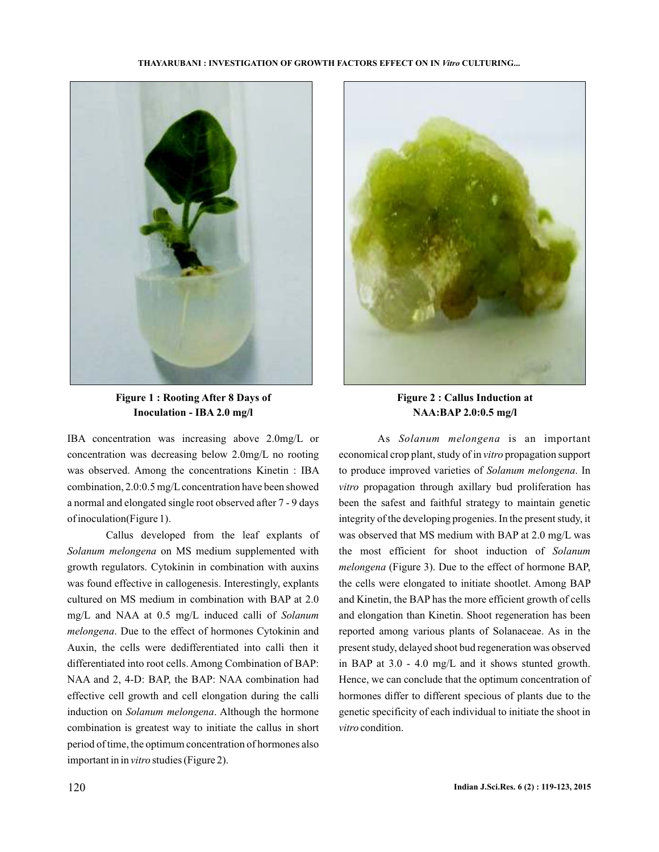#### **THAYARUBANI INVESTIGATION OF GROWTH FACTORS EFFECT ON IN CULTURING... :** *Vitro*



**Figure 1 : Rooting After 8 Days of Inoculation - IBA 2.0 mg/l**

IBA concentration was increasing above 2.0mg/L or concentration was decreasing below 2.0mg/L no rooting was observed. Among the concentrations Kinetin : IBA combination, 2.0:0.5 mg/L concentration have been showed a normal and elongated single root observed after 7 - 9 days of inoculation(Figure 1).

Callus developed from the leaf explants of Solanum melongena on MS medium supplemented with growth regulators. Cytokinin in combination with auxins was found effective in callogenesis. Interestingly, explants cultured on MS medium in combination with BAP at 2.0 mg/L and NAA at 0.5 mg/L induced calli of *Solanum* melongena. Due to the effect of hormones Cytokinin and Auxin, the cells were dedifferentiated into calli then it differentiated into root cells. Among Combination of BAP: NAA and 2, 4-D: BAP, the BAP: NAA combination had effective cell growth and cell elongation during the calli induction on Solanum melongena. Although the hormone combination is greatest way to initiate the callus in short period of time, the optimum concentration of hormones also important in in vitro studies (Figure 2).



**Figure 2 : Callus Induction at NAA:BAP 2.0:0.5 mg/l**

As Solanum melongena is an important economical crop plant, study of in vitro propagation support to produce improved varieties of Solanum melongena. In vitro propagation through axillary bud proliferation has been the safest and faithful strategy to maintain genetic integrity of the developing progenies. In the present study, it was observed that MS medium with BAP at 2.0 mg/L was the most efficient for shoot induction of *Solanum* (Figure 3). Due to the effect of hormone BAP, *melongena* the cells were elongated to initiate shootlet. Among BAP and Kinetin, the BAP has the more efficient growth of cells and elongation than Kinetin. Shoot regeneration has been reported among various plants of Solanaceae. As in the present study, delayed shoot bud regeneration was observed in BAP at 3.0 - 4.0 mg/L and it shows stunted growth. Hence, we can conclude that the optimum concentration of hormones differ to different specious of plants due to the genetic specificity of each individual to initiate the shoot in vitro condition.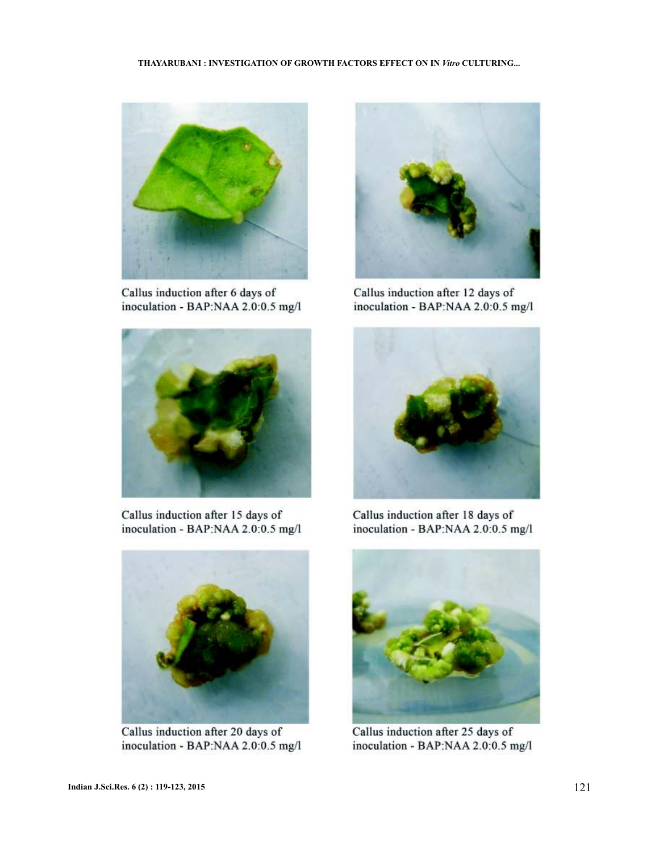

Callus induction after 6 days of inoculation - BAP:NAA 2.0:0.5 mg/l



Callus induction after 15 days of inoculation - BAP:NAA 2.0:0.5 mg/l



Callus induction after 20 days of inoculation - BAP:NAA 2.0:0.5 mg/l



Callus induction after 12 days of inoculation - BAP:NAA 2.0:0.5 mg/l



Callus induction after 18 days of inoculation - BAP:NAA 2.0:0.5 mg/l



Callus induction after 25 days of inoculation - BAP:NAA 2.0:0.5 mg/l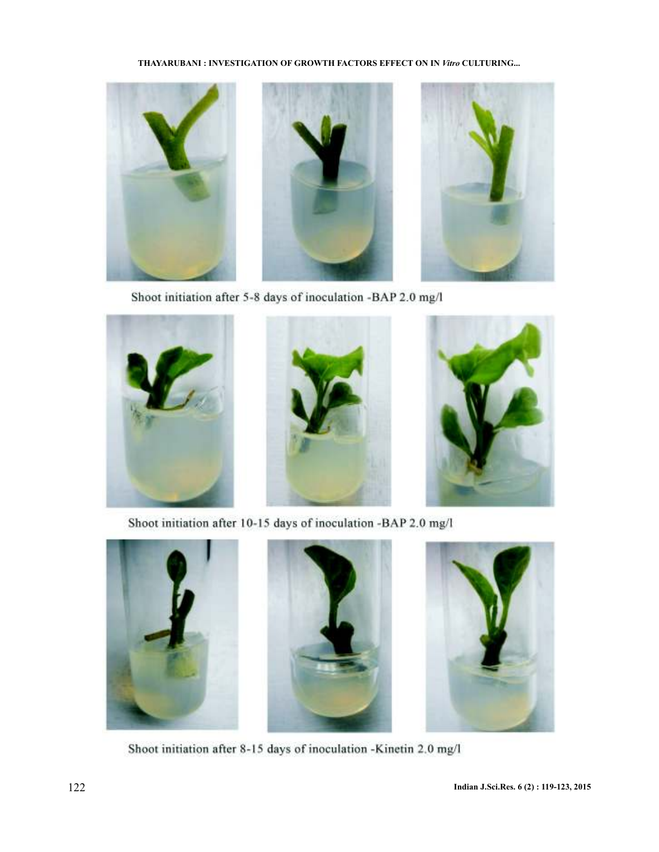THAYARUBANI : INVESTIGATION OF GROWTH FACTORS EFFECT ON IN Vitro CULTURING...



Shoot initiation after 5-8 days of inoculation -BAP 2.0 mg/l



Shoot initiation after 10-15 days of inoculation -BAP 2.0 mg/l







Shoot initiation after 8-15 days of inoculation -Kinetin 2.0 mg/l